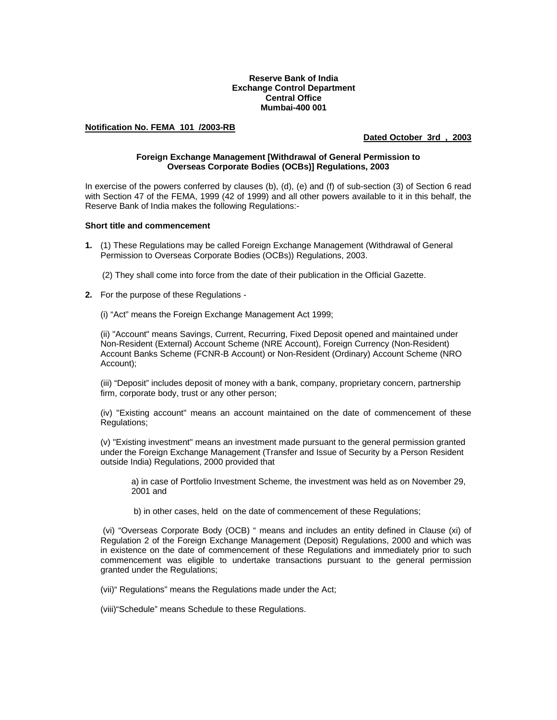# **Reserve Bank of India Exchange Control Department Central Office Mumbai-400 001**

# **Notification No. FEMA 101 /2003-RB**

# **Dated October 3rd , 2003**

### **Foreign Exchange Management [Withdrawal of General Permission to Overseas Corporate Bodies (OCBs)] Regulations, 2003**

In exercise of the powers conferred by clauses (b), (d), (e) and (f) of sub-section (3) of Section 6 read with Section 47 of the FEMA, 1999 (42 of 1999) and all other powers available to it in this behalf, the Reserve Bank of India makes the following Regulations:-

### **Short title and commencement**

- **1.** (1) These Regulations may be called Foreign Exchange Management (Withdrawal of General Permission to Overseas Corporate Bodies (OCBs)) Regulations, 2003.
	- (2) They shall come into force from the date of their publication in the Official Gazette.
- **2.** For the purpose of these Regulations -

(i) "Act" means the Foreign Exchange Management Act 1999;

(ii) "Account" means Savings, Current, Recurring, Fixed Deposit opened and maintained under Non-Resident (External) Account Scheme (NRE Account), Foreign Currency (Non-Resident) Account Banks Scheme (FCNR-B Account) or Non-Resident (Ordinary) Account Scheme (NRO Account);

(iii) "Deposit" includes deposit of money with a bank, company, proprietary concern, partnership firm, corporate body, trust or any other person;

(iv) "Existing account" means an account maintained on the date of commencement of these Regulations;

(v) "Existing investment" means an investment made pursuant to the general permission granted under the Foreign Exchange Management (Transfer and Issue of Security by a Person Resident outside India) Regulations, 2000 provided that

a) in case of Portfolio Investment Scheme, the investment was held as on November 29, 2001 and

b) in other cases, held on the date of commencement of these Regulations;

 (vi) "Overseas Corporate Body (OCB) " means and includes an entity defined in Clause (xi) of Regulation 2 of the Foreign Exchange Management (Deposit) Regulations, 2000 and which was in existence on the date of commencement of these Regulations and immediately prior to such commencement was eligible to undertake transactions pursuant to the general permission granted under the Regulations;

(vii)" Regulations" means the Regulations made under the Act;

(viii)"Schedule" means Schedule to these Regulations.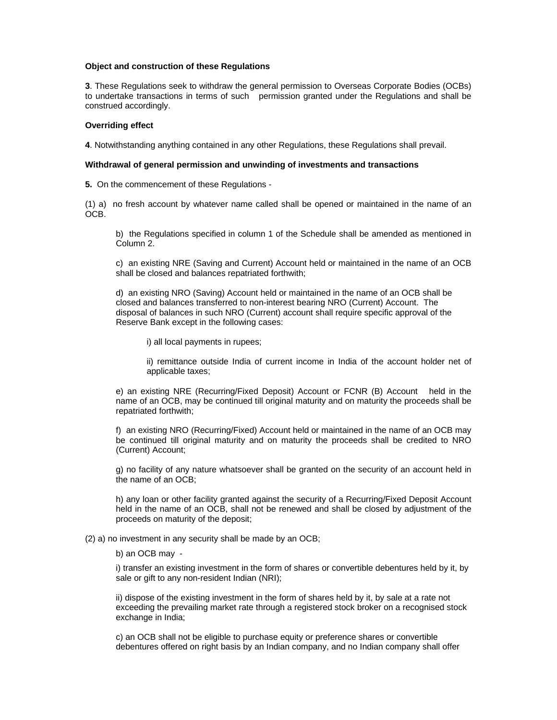#### **Object and construction of these Regulations**

**3**. These Regulations seek to withdraw the general permission to Overseas Corporate Bodies (OCBs) to undertake transactions in terms of such permission granted under the Regulations and shall be construed accordingly.

# **Overriding effect**

**4**. Notwithstanding anything contained in any other Regulations, these Regulations shall prevail.

### **Withdrawal of general permission and unwinding of investments and transactions**

**5.** On the commencement of these Regulations -

(1) a) no fresh account by whatever name called shall be opened or maintained in the name of an OCB.

b) the Regulations specified in column 1 of the Schedule shall be amended as mentioned in Column 2.

c) an existing NRE (Saving and Current) Account held or maintained in the name of an OCB shall be closed and balances repatriated forthwith;

d) an existing NRO (Saving) Account held or maintained in the name of an OCB shall be closed and balances transferred to non-interest bearing NRO (Current) Account. The disposal of balances in such NRO (Current) account shall require specific approval of the Reserve Bank except in the following cases:

i) all local payments in rupees;

ii) remittance outside India of current income in India of the account holder net of applicable taxes;

e) an existing NRE (Recurring/Fixed Deposit) Account or FCNR (B) Account held in the name of an OCB, may be continued till original maturity and on maturity the proceeds shall be repatriated forthwith;

f) an existing NRO (Recurring/Fixed) Account held or maintained in the name of an OCB may be continued till original maturity and on maturity the proceeds shall be credited to NRO (Current) Account;

g) no facility of any nature whatsoever shall be granted on the security of an account held in the name of an OCB;

h) any loan or other facility granted against the security of a Recurring/Fixed Deposit Account held in the name of an OCB, shall not be renewed and shall be closed by adjustment of the proceeds on maturity of the deposit;

(2) a) no investment in any security shall be made by an OCB;

b) an OCB may -

i) transfer an existing investment in the form of shares or convertible debentures held by it, by sale or gift to any non-resident Indian (NRI);

ii) dispose of the existing investment in the form of shares held by it, by sale at a rate not exceeding the prevailing market rate through a registered stock broker on a recognised stock exchange in India:

c) an OCB shall not be eligible to purchase equity or preference shares or convertible debentures offered on right basis by an Indian company, and no Indian company shall offer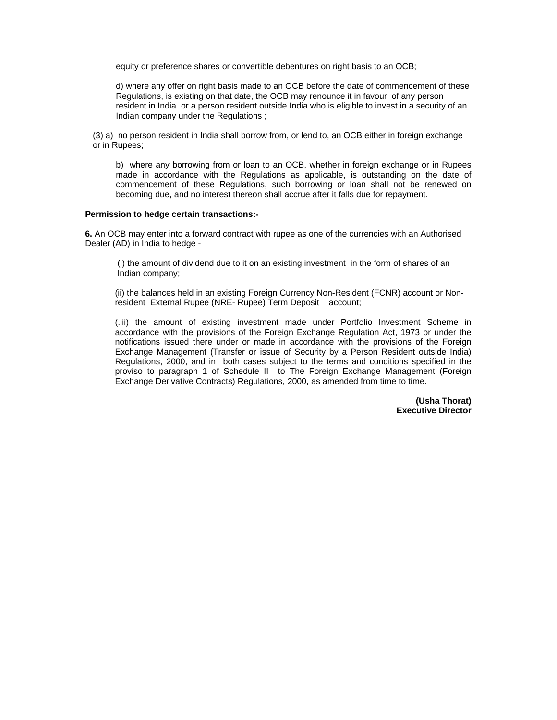equity or preference shares or convertible debentures on right basis to an OCB;

d) where any offer on right basis made to an OCB before the date of commencement of these Regulations, is existing on that date, the OCB may renounce it in favour of any person resident in India or a person resident outside India who is eligible to invest in a security of an Indian company under the Regulations ;

(3) a) no person resident in India shall borrow from, or lend to, an OCB either in foreign exchange or in Rupees;

 b) where any borrowing from or loan to an OCB, whether in foreign exchange or in Rupees made in accordance with the Regulations as applicable, is outstanding on the date of commencement of these Regulations, such borrowing or loan shall not be renewed on becoming due, and no interest thereon shall accrue after it falls due for repayment.

### **Permission to hedge certain transactions:-**

**6.** An OCB may enter into a forward contract with rupee as one of the currencies with an Authorised Dealer (AD) in India to hedge -

(i) the amount of dividend due to it on an existing investment in the form of shares of an Indian company;

(ii) the balances held in an existing Foreign Currency Non-Resident (FCNR) account or Nonresident External Rupee (NRE- Rupee) Term Deposit account;

(.iii) the amount of existing investment made under Portfolio Investment Scheme in accordance with the provisions of the Foreign Exchange Regulation Act, 1973 or under the notifications issued there under or made in accordance with the provisions of the Foreign Exchange Management (Transfer or issue of Security by a Person Resident outside India) Regulations, 2000, and in both cases subject to the terms and conditions specified in the proviso to paragraph 1 of Schedule II to The Foreign Exchange Management (Foreign Exchange Derivative Contracts) Regulations, 2000, as amended from time to time.

> **(Usha Thorat) Executive Director**